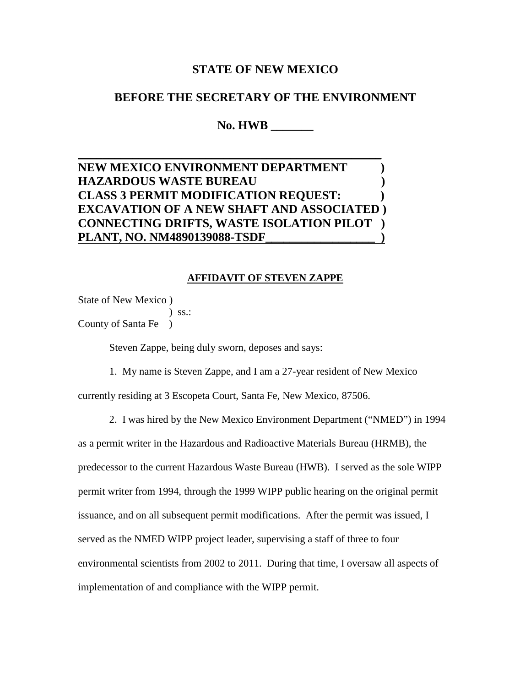## **STATE OF NEW MEXICO**

## **BEFORE THE SECRETARY OF THE ENVIRONMENT**

**No. HWB \_\_\_\_\_\_\_**

## **NEW MEXICO ENVIRONMENT DEPARTMENT ) HAZARDOUS WASTE BUREAU ) CLASS 3 PERMIT MODIFICATION REQUEST: ) EXCAVATION OF A NEW SHAFT AND ASSOCIATED ) CONNECTING DRIFTS, WASTE ISOLATION PILOT ) PLANT, NO. NM4890139088-TSDF\_\_\_\_\_\_\_\_\_\_\_\_\_\_\_\_\_\_ )**

 $\sim$  . The contribution of the contribution of the contribution of the contribution of the contribution of the contribution of the contribution of the contribution of the contribution of the contribution of the contributi

## **AFFIDAVIT OF STEVEN ZAPPE**

State of New Mexico )

 ) ss.: County of Santa Fe )

Steven Zappe, being duly sworn, deposes and says:

1. My name is Steven Zappe, and I am a 27-year resident of New Mexico

currently residing at 3 Escopeta Court, Santa Fe, New Mexico, 87506.

2. I was hired by the New Mexico Environment Department ("NMED") in 1994

as a permit writer in the Hazardous and Radioactive Materials Bureau (HRMB), the predecessor to the current Hazardous Waste Bureau (HWB). I served as the sole WIPP permit writer from 1994, through the 1999 WIPP public hearing on the original permit issuance, and on all subsequent permit modifications. After the permit was issued, I served as the NMED WIPP project leader, supervising a staff of three to four environmental scientists from 2002 to 2011. During that time, I oversaw all aspects of implementation of and compliance with the WIPP permit.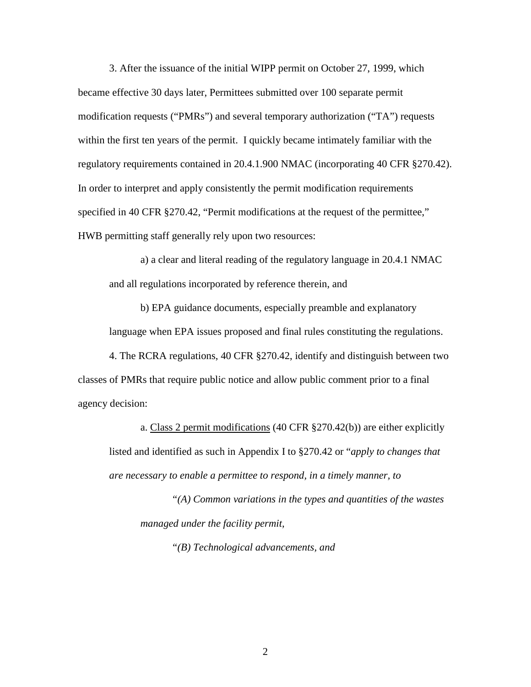3. After the issuance of the initial WIPP permit on October 27, 1999, which became effective 30 days later, Permittees submitted over 100 separate permit modification requests ("PMRs") and several temporary authorization ("TA") requests within the first ten years of the permit. I quickly became intimately familiar with the regulatory requirements contained in 20.4.1.900 NMAC (incorporating 40 CFR §270.42). In order to interpret and apply consistently the permit modification requirements specified in 40 CFR §270.42, "Permit modifications at the request of the permittee," HWB permitting staff generally rely upon two resources:

a) a clear and literal reading of the regulatory language in 20.4.1 NMAC and all regulations incorporated by reference therein, and

b) EPA guidance documents, especially preamble and explanatory language when EPA issues proposed and final rules constituting the regulations.

4. The RCRA regulations, 40 CFR §270.42, identify and distinguish between two classes of PMRs that require public notice and allow public comment prior to a final agency decision:

a. Class 2 permit modifications (40 CFR §270.42(b)) are either explicitly listed and identified as such in Appendix I to §270.42 or "*apply to changes that are necessary to enable a permittee to respond, in a timely manner, to*

*"(A) Common variations in the types and quantities of the wastes managed under the facility permit,*

*"(B) Technological advancements, and*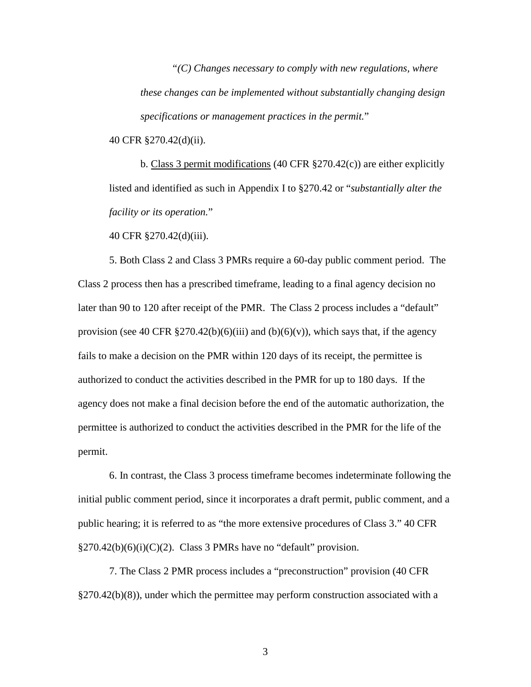*"(C) Changes necessary to comply with new regulations, where these changes can be implemented without substantially changing design specifications or management practices in the permit.*"

40 CFR §270.42(d)(ii).

b. Class 3 permit modifications (40 CFR §270.42(c)) are either explicitly listed and identified as such in Appendix I to §270.42 or "*substantially alter the facility or its operation.*"

40 CFR §270.42(d)(iii).

5. Both Class 2 and Class 3 PMRs require a 60-day public comment period. The Class 2 process then has a prescribed timeframe, leading to a final agency decision no later than 90 to 120 after receipt of the PMR. The Class 2 process includes a "default" provision (see 40 CFR  $\S 270.42(b)(6)(iii)$  and (b)(6)(v)), which says that, if the agency fails to make a decision on the PMR within 120 days of its receipt, the permittee is authorized to conduct the activities described in the PMR for up to 180 days. If the agency does not make a final decision before the end of the automatic authorization, the permittee is authorized to conduct the activities described in the PMR for the life of the permit.

6. In contrast, the Class 3 process timeframe becomes indeterminate following the initial public comment period, since it incorporates a draft permit, public comment, and a public hearing; it is referred to as "the more extensive procedures of Class 3." 40 CFR  $§270.42(b)(6)(i)(C)(2)$ . Class 3 PMRs have no "default" provision.

7. The Class 2 PMR process includes a "preconstruction" provision (40 CFR  $\S270.42(b)(8)$ , under which the permittee may perform construction associated with a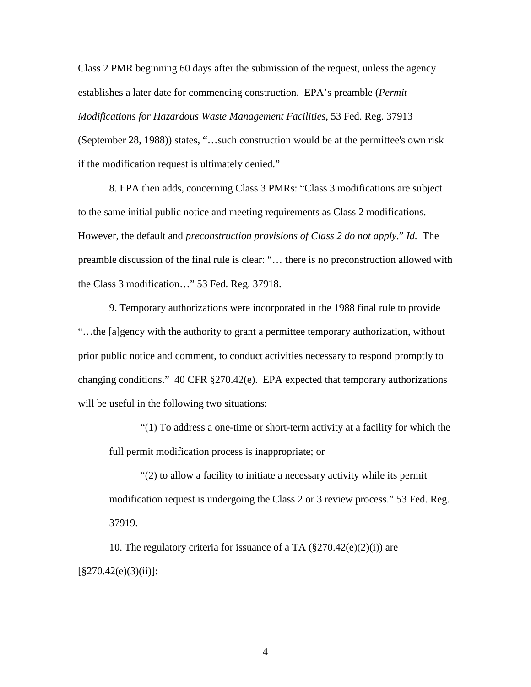Class 2 PMR beginning 60 days after the submission of the request, unless the agency establishes a later date for commencing construction. EPA's preamble (*Permit Modifications for Hazardous Waste Management Facilities*, 53 Fed. Reg. 37913 (September 28, 1988)) states, "…such construction would be at the permittee's own risk if the modification request is ultimately denied."

8. EPA then adds, concerning Class 3 PMRs: "Class 3 modifications are subject to the same initial public notice and meeting requirements as Class 2 modifications. However, the default and *preconstruction provisions of Class 2 do not apply*." *Id.* The preamble discussion of the final rule is clear: "… there is no preconstruction allowed with the Class 3 modification…" 53 Fed. Reg. 37918.

9. Temporary authorizations were incorporated in the 1988 final rule to provide "…the [a]gency with the authority to grant a permittee temporary authorization, without prior public notice and comment, to conduct activities necessary to respond promptly to changing conditions." 40 CFR §270.42(e). EPA expected that temporary authorizations will be useful in the following two situations:

"(1) To address a one-time or short-term activity at a facility for which the full permit modification process is inappropriate; or

"(2) to allow a facility to initiate a necessary activity while its permit modification request is undergoing the Class 2 or 3 review process." 53 Fed. Reg. 37919.

10. The regulatory criteria for issuance of a TA  $(\frac{8}{270.42}e)(2)(i)$  are  $\S270.42(e)(3)(ii)$ :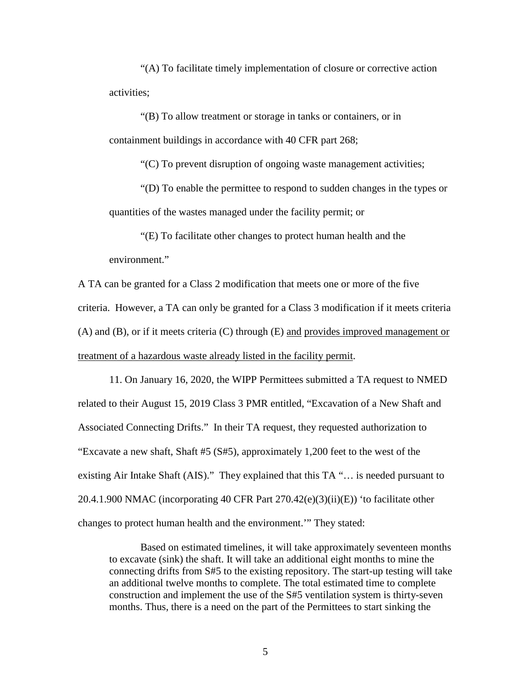"(A) To facilitate timely implementation of closure or corrective action activities;

"(B) To allow treatment or storage in tanks or containers, or in containment buildings in accordance with 40 CFR part 268;

"(C) To prevent disruption of ongoing waste management activities;

"(D) To enable the permittee to respond to sudden changes in the types or quantities of the wastes managed under the facility permit; or

"(E) To facilitate other changes to protect human health and the environment."

A TA can be granted for a Class 2 modification that meets one or more of the five criteria. However, a TA can only be granted for a Class 3 modification if it meets criteria (A) and (B), or if it meets criteria (C) through (E) and provides improved management or treatment of a hazardous waste already listed in the facility permit.

11. On January 16, 2020, the WIPP Permittees submitted a TA request to NMED related to their August 15, 2019 Class 3 PMR entitled, "Excavation of a New Shaft and Associated Connecting Drifts." In their TA request, they requested authorization to "Excavate a new shaft, Shaft #5 (S#5), approximately 1,200 feet to the west of the existing Air Intake Shaft (AIS)." They explained that this TA "… is needed pursuant to 20.4.1.900 NMAC (incorporating 40 CFR Part 270.42(e)(3)(ii)(E)) 'to facilitate other changes to protect human health and the environment.'" They stated:

Based on estimated timelines, it will take approximately seventeen months to excavate (sink) the shaft. It will take an additional eight months to mine the connecting drifts from S#5 to the existing repository. The start-up testing will take an additional twelve months to complete. The total estimated time to complete construction and implement the use of the S#5 ventilation system is thirty-seven months. Thus, there is a need on the part of the Permittees to start sinking the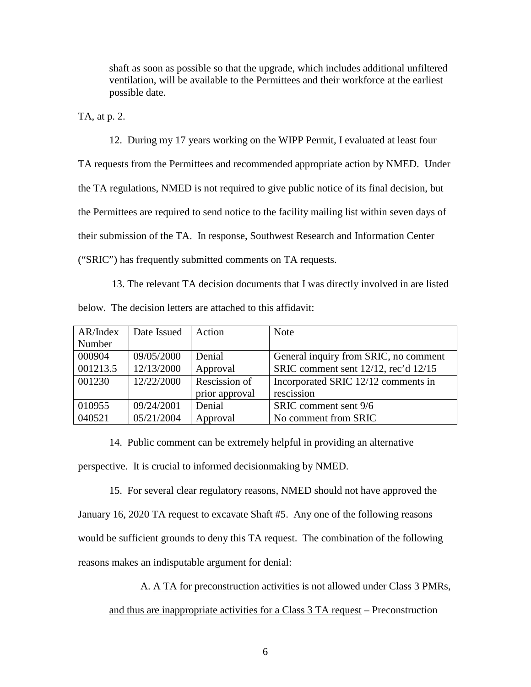shaft as soon as possible so that the upgrade, which includes additional unfiltered ventilation, will be available to the Permittees and their workforce at the earliest possible date.

TA, at p. 2.

12. During my 17 years working on the WIPP Permit, I evaluated at least four TA requests from the Permittees and recommended appropriate action by NMED. Under the TA regulations, NMED is not required to give public notice of its final decision, but the Permittees are required to send notice to the facility mailing list within seven days of their submission of the TA. In response, Southwest Research and Information Center ("SRIC") has frequently submitted comments on TA requests.

13. The relevant TA decision documents that I was directly involved in are listed below. The decision letters are attached to this affidavit:

| AR/Index | Date Issued | Action         | <b>Note</b>                               |
|----------|-------------|----------------|-------------------------------------------|
| Number   |             |                |                                           |
| 000904   | 09/05/2000  | Denial         | General inquiry from SRIC, no comment     |
| 001213.5 | 12/13/2000  | Approval       | SRIC comment sent $12/12$ , rec'd $12/15$ |
| 001230   | 12/22/2000  | Rescission of  | Incorporated SRIC 12/12 comments in       |
|          |             | prior approval | rescission                                |
| 010955   | 09/24/2001  | Denial         | SRIC comment sent 9/6                     |
| 040521   | 05/21/2004  | Approval       | No comment from SRIC                      |

14. Public comment can be extremely helpful in providing an alternative perspective. It is crucial to informed decisionmaking by NMED.

15. For several clear regulatory reasons, NMED should not have approved the January 16, 2020 TA request to excavate Shaft #5. Any one of the following reasons would be sufficient grounds to deny this TA request. The combination of the following reasons makes an indisputable argument for denial:

A. A TA for preconstruction activities is not allowed under Class 3 PMRs,

and thus are inappropriate activities for a Class 3 TA request – Preconstruction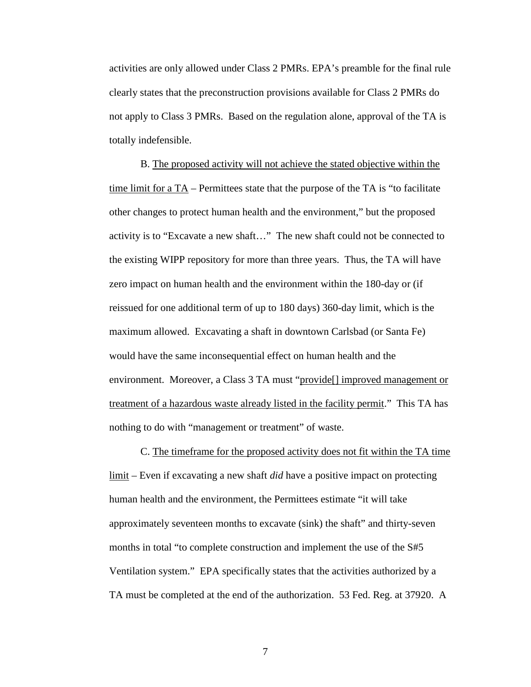activities are only allowed under Class 2 PMRs. EPA's preamble for the final rule clearly states that the preconstruction provisions available for Class 2 PMRs do not apply to Class 3 PMRs. Based on the regulation alone, approval of the TA is totally indefensible.

B. The proposed activity will not achieve the stated objective within the time limit for a TA – Permittees state that the purpose of the TA is "to facilitate other changes to protect human health and the environment," but the proposed activity is to "Excavate a new shaft…" The new shaft could not be connected to the existing WIPP repository for more than three years. Thus, the TA will have zero impact on human health and the environment within the 180-day or (if reissued for one additional term of up to 180 days) 360-day limit, which is the maximum allowed. Excavating a shaft in downtown Carlsbad (or Santa Fe) would have the same inconsequential effect on human health and the environment. Moreover, a Class 3 TA must "provide<sup>[]</sup> improved management or treatment of a hazardous waste already listed in the facility permit." This TA has nothing to do with "management or treatment" of waste.

C. The timeframe for the proposed activity does not fit within the TA time limit – Even if excavating a new shaft *did* have a positive impact on protecting human health and the environment, the Permittees estimate "it will take approximately seventeen months to excavate (sink) the shaft" and thirty-seven months in total "to complete construction and implement the use of the S#5 Ventilation system." EPA specifically states that the activities authorized by a TA must be completed at the end of the authorization. 53 Fed. Reg. at 37920. A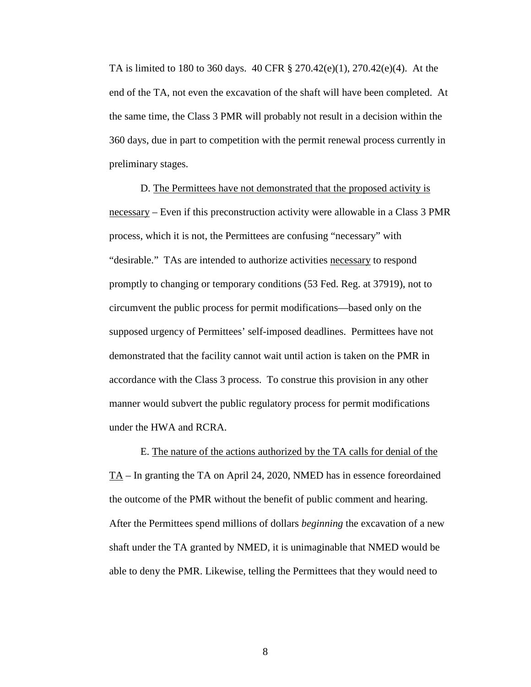TA is limited to 180 to 360 days. 40 CFR  $\S 270.42(e)(1)$ , 270.42(e)(4). At the end of the TA, not even the excavation of the shaft will have been completed. At the same time, the Class 3 PMR will probably not result in a decision within the 360 days, due in part to competition with the permit renewal process currently in preliminary stages.

D. The Permittees have not demonstrated that the proposed activity is necessary – Even if this preconstruction activity were allowable in a Class 3 PMR process, which it is not, the Permittees are confusing "necessary" with "desirable." TAs are intended to authorize activities necessary to respond promptly to changing or temporary conditions (53 Fed. Reg. at 37919), not to circumvent the public process for permit modifications—based only on the supposed urgency of Permittees' self-imposed deadlines. Permittees have not demonstrated that the facility cannot wait until action is taken on the PMR in accordance with the Class 3 process. To construe this provision in any other manner would subvert the public regulatory process for permit modifications under the HWA and RCRA.

E. The nature of the actions authorized by the TA calls for denial of the TA – In granting the TA on April 24, 2020, NMED has in essence foreordained the outcome of the PMR without the benefit of public comment and hearing. After the Permittees spend millions of dollars *beginning* the excavation of a new shaft under the TA granted by NMED, it is unimaginable that NMED would be able to deny the PMR. Likewise, telling the Permittees that they would need to